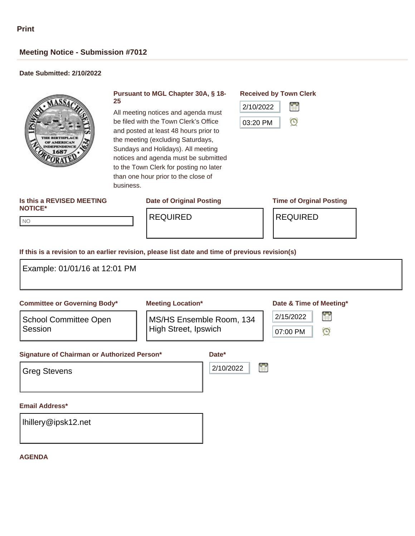NO NO

### **Meeting Notice - Submission #7012**

### **Date Submitted: 2/10/2022**



#### **Pursuant to MGL Chapter 30A, § 18- 25**

All meeting notices and agenda must be filed with the Town Clerk's Office and posted at least 48 hours prior to the meeting (excluding Saturdays, Sundays and Holidays). All meeting notices and agenda must be submitted to the Town Clerk for posting no later than one hour prior to the close of business.

## **Is this a REVISED MEETING**

#### **Date of Original Posting Time of Orginal Posting**

#### **Received by Town Clerk**



# **NOTICE\***

REQUIRED REQUIRED

#### **If this is a revision to an earlier revision, please list date and time of previous revision(s)**

| Example: 01/01/16 at 12:01 PM                                                          |                                                  |                |                                                 |
|----------------------------------------------------------------------------------------|--------------------------------------------------|----------------|-------------------------------------------------|
| <b>Committee or Governing Body*</b>                                                    | <b>Meeting Location*</b>                         |                | Date & Time of Meeting*                         |
| <b>School Committee Open</b><br>Session<br>Signature of Chairman or Authorized Person* | MS/HS Ensemble Room, 134<br>High Street, Ipswich | Date*          | 閨<br>2/15/2022<br>$\mathbf{\Theta}$<br>07:00 PM |
| <b>Greg Stevens</b>                                                                    |                                                  | 鲁<br>2/10/2022 |                                                 |
| <b>Email Address*</b>                                                                  |                                                  |                |                                                 |
| Ihillery@ipsk12.net                                                                    |                                                  |                |                                                 |

#### **AGENDA**